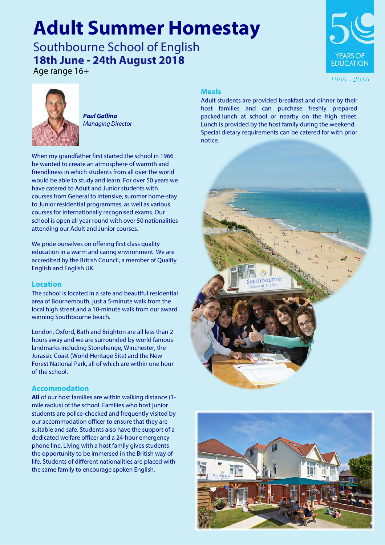# **Adult Summer Homestay**

Southbourne School of English **18th June - 24th August 2018**

Age range 16+





**Paul Gallina** Managing Director

When my grandfather first started the school in 1966 he wanted to create an atmosphere of warmth and friendliness in which students from all over the world would be able to study and learn. For over 50 years we have catered to Adult and Junior students with courses from General to Intensive, summer home-stay to Junior residential programmes, as well as various courses for internationally recognised exams. Our school is open all year round with over 50 nationalities attending our Adult and Junior courses.

We pride ourselves on offering first class quality education in a warm and caring environment. We are accredited by the British Council, a member of Quality English and English UK.

#### **Location**

The school is located in a safe and beautiful residential area of Bournemouth, just a 5-minute walk from the local high street and a 10-minute walk from our award winning Southbourne beach.

London, Oxford, Bath and Brighton are all less than 2 hours away and we are surrounded by world famous landmarks including Stonehenge, Winchester, the Jurassic Coast (World Heritage Site) and the New Forest National Park, all of which are within one hour of the school.

# **Accommodation**

**All** of our host families are within walking distance (1 mile radius) of the school. Families who host junior students are police-checked and frequently visited by our accommodation officer to ensure that they are suitable and safe. Students also have the support of a dedicated welfare officer and a 24-hour emergency phone line. Living with a host family gives students the opportunity to be immersed in the British way of life. Students of different nationalities are placed with the same family to encourage spoken English.

## **Meals**

Adult students are provided breakfast and dinner by their host families and can purchase freshly prepared packed lunch at school or nearby on the high street. Lunch is provided by the host family during the weekend. Special dietary requirements can be catered for with prior notice.